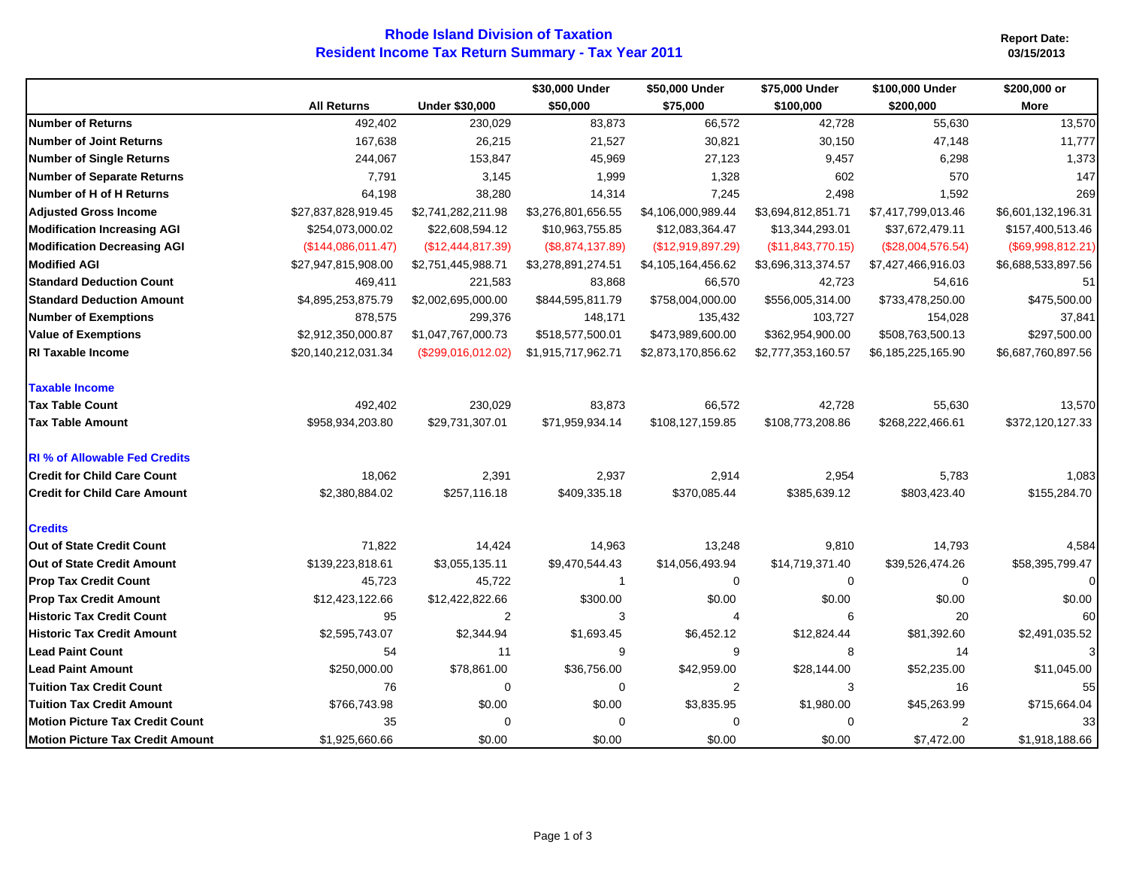## **Resident Income Tax Return Summary - Tax Year 2011 Rhode Island Division of Taxation**

**Report Date:**

|                                        | <b>All Returns</b>  | <b>Under \$30,000</b> | \$30,000 Under<br>\$50,000 | \$50,000 Under<br>\$75,000 | \$75,000 Under<br>\$100,000 | \$100,000 Under<br>\$200,000 | \$200,000 or<br><b>More</b> |
|----------------------------------------|---------------------|-----------------------|----------------------------|----------------------------|-----------------------------|------------------------------|-----------------------------|
|                                        |                     |                       |                            |                            |                             |                              |                             |
| <b>Number of Returns</b>               | 492,402             | 230,029               | 83,873                     | 66,572                     | 42,728                      | 55,630                       | 13,570                      |
| <b>Number of Joint Returns</b>         | 167,638             | 26,215                | 21,527                     | 30,821                     | 30,150                      | 47,148                       | 11,777                      |
| <b>Number of Single Returns</b>        | 244,067             | 153,847               | 45,969                     | 27,123                     | 9,457                       | 6,298                        | 1,373                       |
| <b>Number of Separate Returns</b>      | 7,791               | 3,145                 | 1,999                      | 1,328                      | 602                         | 570                          | 147                         |
| Number of H of H Returns               | 64,198              | 38,280                | 14,314                     | 7,245                      | 2,498                       | 1,592                        | 269                         |
| <b>Adjusted Gross Income</b>           | \$27,837,828,919.45 | \$2,741,282,211.98    | \$3,276,801,656.55         | \$4,106,000,989.44         | \$3,694,812,851.71          | \$7,417,799,013.46           | \$6,601,132,196.31          |
| <b>Modification Increasing AGI</b>     | \$254,073,000.02    | \$22,608,594.12       | \$10,963,755.85            | \$12,083,364.47            | \$13,344,293.01             | \$37,672,479.11              | \$157,400,513.46            |
| <b>Modification Decreasing AGI</b>     | (\$144,086,011.47)  | (\$12,444,817.39)     | (\$8,874,137.89)           | (\$12,919,897.29)          | (\$11,843,770.15)           | (\$28,004,576.54)            | (\$69,998,812.21)           |
| <b>Modified AGI</b>                    | \$27,947,815,908.00 | \$2,751,445,988.71    | \$3,278,891,274.51         | \$4,105,164,456.62         | \$3,696,313,374.57          | \$7,427,466,916.03           | \$6,688,533,897.56          |
| <b>Standard Deduction Count</b>        | 469,411             | 221,583               | 83,868                     | 66,570                     | 42,723                      | 54,616                       | 51                          |
| <b>Standard Deduction Amount</b>       | \$4,895,253,875.79  | \$2,002,695,000.00    | \$844,595,811.79           | \$758,004,000.00           | \$556,005,314.00            | \$733,478,250.00             | \$475,500.00                |
| <b>Number of Exemptions</b>            | 878,575             | 299,376               | 148,171                    | 135,432                    | 103,727                     | 154,028                      | 37,841                      |
| <b>Value of Exemptions</b>             | \$2,912,350,000.87  | \$1,047,767,000.73    | \$518,577,500.01           | \$473,989,600.00           | \$362,954,900.00            | \$508,763,500.13             | \$297,500.00                |
| <b>RI Taxable Income</b>               | \$20,140,212,031.34 | (\$299,016,012.02)    | \$1,915,717,962.71         | \$2,873,170,856.62         | \$2,777,353,160.57          | \$6,185,225,165.90           | \$6,687,760,897.56          |
| <b>Taxable Income</b>                  |                     |                       |                            |                            |                             |                              |                             |
| <b>Tax Table Count</b>                 | 492,402             | 230,029               | 83,873                     | 66,572                     | 42,728                      | 55,630                       | 13,570                      |
| <b>Tax Table Amount</b>                | \$958,934,203.80    | \$29,731,307.01       | \$71,959,934.14            | \$108,127,159.85           | \$108,773,208.86            | \$268,222,466.61             | \$372,120,127.33            |
| <b>RI</b> % of Allowable Fed Credits   |                     |                       |                            |                            |                             |                              |                             |
| <b>Credit for Child Care Count</b>     | 18,062              | 2,391                 | 2,937                      | 2,914                      | 2,954                       | 5,783                        | 1,083                       |
| <b>Credit for Child Care Amount</b>    | \$2,380,884.02      | \$257,116.18          | \$409,335.18               | \$370,085.44               | \$385,639.12                | \$803,423.40                 | \$155,284.70                |
| <b>Credits</b>                         |                     |                       |                            |                            |                             |                              |                             |
| Out of State Credit Count              | 71,822              | 14,424                | 14,963                     | 13,248                     | 9,810                       | 14,793                       | 4,584                       |
| <b>Out of State Credit Amount</b>      | \$139,223,818.61    | \$3,055,135.11        | \$9,470,544.43             | \$14,056,493.94            | \$14,719,371.40             | \$39,526,474.26              | \$58,395,799.47             |
| <b>Prop Tax Credit Count</b>           | 45,723              | 45,722                | $\overline{1}$             | 0                          | 0                           | 0                            | $\overline{0}$              |
| <b>Prop Tax Credit Amount</b>          | \$12,423,122.66     | \$12,422,822.66       | \$300.00                   | \$0.00                     | \$0.00                      | \$0.00                       | \$0.00                      |
| <b>Historic Tax Credit Count</b>       | 95                  | 2                     | 3                          | $\overline{4}$             | 6                           | 20                           | 60                          |
| <b>Historic Tax Credit Amount</b>      | \$2,595,743.07      | \$2,344.94            | \$1,693.45                 | \$6,452.12                 | \$12,824.44                 | \$81,392.60                  | \$2,491,035.52              |
| <b>Lead Paint Count</b>                | 54                  | 11                    | 9                          | 9                          | 8                           | 14                           | 3 <sup>1</sup>              |
| <b>Lead Paint Amount</b>               | \$250,000.00        | \$78,861.00           | \$36,756.00                | \$42,959.00                | \$28,144.00                 | \$52,235.00                  | \$11,045.00                 |
| <b>Tuition Tax Credit Count</b>        | 76                  | $\mathbf 0$           | $\mathbf 0$                | $\overline{\mathbf{c}}$    | 3                           | 16                           | 55                          |
| <b>Tuition Tax Credit Amount</b>       | \$766,743.98        | \$0.00                | \$0.00                     | \$3,835.95                 | \$1,980.00                  | \$45,263.99                  | \$715,664.04                |
| <b>Motion Picture Tax Credit Count</b> | 35                  | $\mathbf 0$           | $\Omega$                   | 0                          | 0                           | $\overline{c}$               | 33                          |
| Motion Picture Tax Credit Amount       | \$1,925,660.66      | \$0.00                | \$0.00                     | \$0.00                     | \$0.00                      | \$7,472.00                   | \$1,918,188.66              |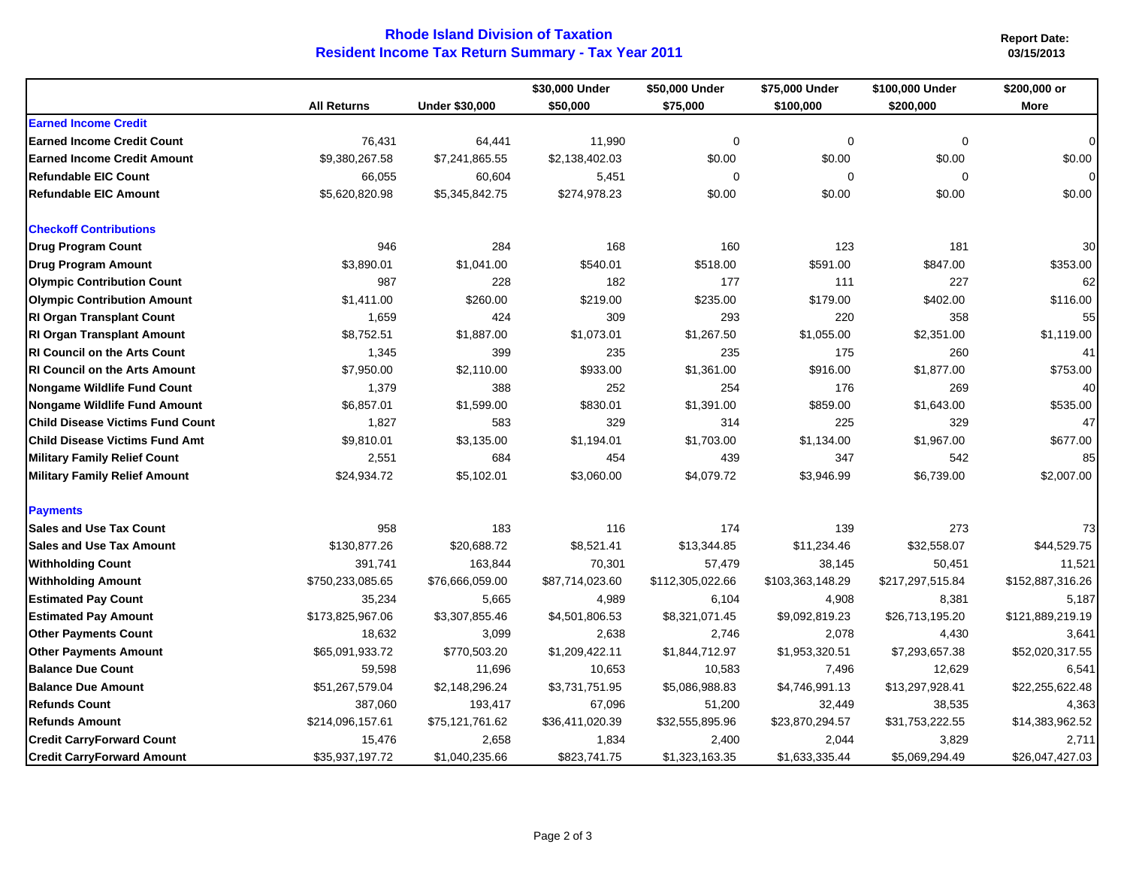## **Rhode Island Division of Taxation Resident Income Tax Return Summary - Tax Year 2011**

**Report Date: 03/15/2013**

|                                         | <b>All Returns</b> | <b>Under \$30,000</b> | \$30,000 Under<br>\$50,000 | \$50,000 Under<br>\$75,000 | \$75,000 Under<br>\$100,000 | \$100,000 Under<br>\$200,000 | \$200,000 or<br><b>More</b> |
|-----------------------------------------|--------------------|-----------------------|----------------------------|----------------------------|-----------------------------|------------------------------|-----------------------------|
|                                         |                    |                       |                            |                            |                             |                              |                             |
| <b>Earned Income Credit</b>             |                    |                       |                            |                            |                             |                              |                             |
| <b>Earned Income Credit Count</b>       | 76,431             | 64,441                | 11,990                     | 0                          | $\mathbf 0$                 | $\Omega$                     | $\Omega$                    |
| <b>Earned Income Credit Amount</b>      | \$9,380,267.58     | \$7,241,865.55        | \$2,138,402.03             | \$0.00                     | \$0.00                      | \$0.00                       | \$0.00                      |
| <b>Refundable EIC Count</b>             | 66,055             | 60,604                | 5,451                      | $\mathbf 0$                | 0                           | 0                            | $\Omega$                    |
| <b>Refundable EIC Amount</b>            | \$5,620,820.98     | \$5,345,842.75        | \$274,978.23               | \$0.00                     | \$0.00                      | \$0.00                       | \$0.00                      |
| <b>Checkoff Contributions</b>           |                    |                       |                            |                            |                             |                              |                             |
| <b>Drug Program Count</b>               | 946                | 284                   | 168                        | 160                        | 123                         | 181                          | 30                          |
| <b>Drug Program Amount</b>              | \$3,890.01         | \$1,041.00            | \$540.01                   | \$518.00                   | \$591.00                    | \$847.00                     | \$353.00                    |
| <b>Olympic Contribution Count</b>       | 987                | 228                   | 182                        | 177                        | 111                         | 227                          | 62                          |
| <b>Olympic Contribution Amount</b>      | \$1,411.00         | \$260.00              | \$219.00                   | \$235.00                   | \$179.00                    | \$402.00                     | \$116.00                    |
| <b>RI Organ Transplant Count</b>        | 1,659              | 424                   | 309                        | 293                        | 220                         | 358                          | 55                          |
| <b>RI Organ Transplant Amount</b>       | \$8,752.51         | \$1,887.00            | \$1,073.01                 | \$1,267.50                 | \$1,055.00                  | \$2,351.00                   | \$1,119.00                  |
| <b>RI Council on the Arts Count</b>     | 1,345              | 399                   | 235                        | 235                        | 175                         | 260                          | 41                          |
| <b>RI Council on the Arts Amount</b>    | \$7,950.00         | \$2,110.00            | \$933.00                   | \$1,361.00                 | \$916.00                    | \$1,877.00                   | \$753.00                    |
| <b>Nongame Wildlife Fund Count</b>      | 1,379              | 388                   | 252                        | 254                        | 176                         | 269                          | 40                          |
| <b>Nongame Wildlife Fund Amount</b>     | \$6,857.01         | \$1,599.00            | \$830.01                   | \$1,391.00                 | \$859.00                    | \$1,643.00                   | \$535.00                    |
| <b>Child Disease Victims Fund Count</b> | 1,827              | 583                   | 329                        | 314                        | 225                         | 329                          | 47                          |
| <b>Child Disease Victims Fund Amt</b>   | \$9,810.01         | \$3,135.00            | \$1,194.01                 | \$1,703.00                 | \$1,134.00                  | \$1,967.00                   | \$677.00                    |
| <b>Military Family Relief Count</b>     | 2,551              | 684                   | 454                        | 439                        | 347                         | 542                          | 85                          |
| <b>Military Family Relief Amount</b>    | \$24,934.72        | \$5,102.01            | \$3,060.00                 | \$4,079.72                 | \$3,946.99                  | \$6,739.00                   | \$2,007.00                  |
| <b>Payments</b>                         |                    |                       |                            |                            |                             |                              |                             |
| <b>Sales and Use Tax Count</b>          | 958                | 183                   | 116                        | 174                        | 139                         | 273                          | 73                          |
| <b>Sales and Use Tax Amount</b>         | \$130,877.26       | \$20,688.72           | \$8,521.41                 | \$13,344.85                | \$11,234.46                 | \$32,558.07                  | \$44,529.75                 |
| <b>Withholding Count</b>                | 391,741            | 163,844               | 70,301                     | 57,479                     | 38,145                      | 50,451                       | 11,521                      |
| <b>Withholding Amount</b>               | \$750,233,085.65   | \$76,666,059.00       | \$87,714,023.60            | \$112,305,022.66           | \$103,363,148.29            | \$217,297,515.84             | \$152,887,316.26            |
| <b>Estimated Pay Count</b>              | 35,234             | 5,665                 | 4,989                      | 6,104                      | 4,908                       | 8,381                        | 5,187                       |
| <b>Estimated Pay Amount</b>             | \$173,825,967.06   | \$3,307,855.46        | \$4,501,806.53             | \$8,321,071.45             | \$9,092,819.23              | \$26,713,195.20              | \$121,889,219.19            |
| <b>Other Payments Count</b>             | 18,632             | 3,099                 | 2,638                      | 2,746                      | 2,078                       | 4,430                        | 3,641                       |
| <b>Other Payments Amount</b>            | \$65,091,933.72    | \$770,503.20          | \$1,209,422.11             | \$1,844,712.97             | \$1,953,320.51              | \$7,293,657.38               | \$52,020,317.55             |
| <b>Balance Due Count</b>                | 59,598             | 11,696                | 10,653                     | 10,583                     | 7,496                       | 12,629                       | 6,541                       |
| <b>Balance Due Amount</b>               | \$51,267,579.04    | \$2,148,296.24        | \$3,731,751.95             | \$5,086,988.83             | \$4,746,991.13              | \$13,297,928.41              | \$22,255,622.48             |
| <b>Refunds Count</b>                    | 387,060            | 193,417               | 67,096                     | 51,200                     | 32,449                      | 38,535                       | 4,363                       |
| <b>Refunds Amount</b>                   | \$214,096,157.61   | \$75,121,761.62       | \$36,411,020.39            | \$32,555,895.96            | \$23,870,294.57             | \$31,753,222.55              | \$14,383,962.52             |
| <b>Credit CarryForward Count</b>        | 15,476             | 2,658                 | 1,834                      | 2,400                      | 2,044                       | 3,829                        | 2,711                       |
| <b>Credit CarryForward Amount</b>       | \$35,937,197.72    | \$1,040,235.66        | \$823,741.75               | \$1,323,163.35             | \$1,633,335.44              | \$5,069,294.49               | \$26,047,427.03             |